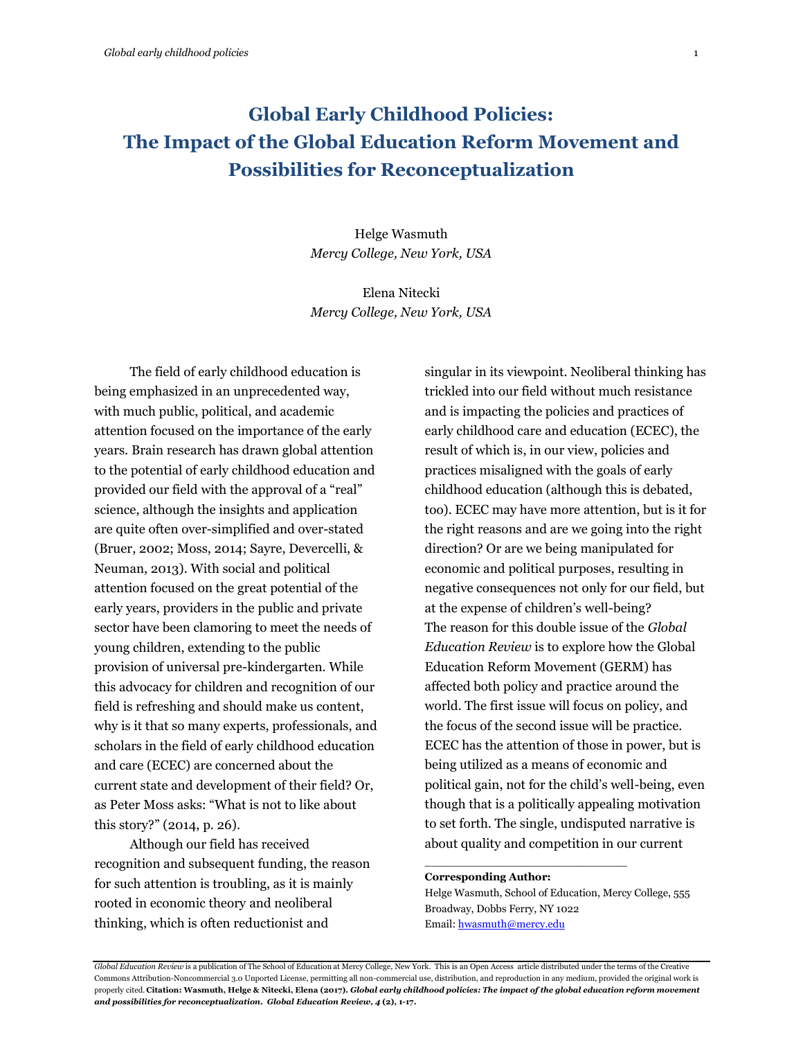# **Global Early Childhood Policies: The Impact of the Global Education Reform Movement and Possibilities for Reconceptualization**

Helge Wasmuth *Mercy College, New York, USA*

Elena Nitecki *Mercy College, New York, USA*

The field of early childhood education is being emphasized in an unprecedented way, with much public, political, and academic attention focused on the importance of the early years. Brain research has drawn global attention to the potential of early childhood education and provided our field with the approval of a "real" science, although the insights and application are quite often over-simplified and over-stated (Bruer, 2002; Moss, 2014; Sayre, Devercelli, & Neuman, 2013). With social and political attention focused on the great potential of the early years, providers in the public and private sector have been clamoring to meet the needs of young children, extending to the public provision of universal pre-kindergarten. While this advocacy for children and recognition of our field is refreshing and should make us content, why is it that so many experts, professionals, and scholars in the field of early childhood education and care (ECEC) are concerned about the current state and development of their field? Or, as Peter Moss asks: "What is not to like about this story?" (2014, p. 26).

Although our field has received recognition and subsequent funding, the reason for such attention is troubling, as it is mainly rooted in economic theory and neoliberal thinking, which is often reductionist and

singular in its viewpoint. Neoliberal thinking has trickled into our field without much resistance and is impacting the policies and practices of early childhood care and education (ECEC), the result of which is, in our view, policies and practices misaligned with the goals of early childhood education (although this is debated, too). ECEC may have more attention, but is it for the right reasons and are we going into the right direction? Or are we being manipulated for economic and political purposes, resulting in negative consequences not only for our field, but at the expense of children's well-being? The reason for this double issue of the *Global Education Review* is to explore how the Global Education Reform Movement (GERM) has affected both policy and practice around the world. The first issue will focus on policy, and the focus of the second issue will be practice. ECEC has the attention of those in power, but is being utilized as a means of economic and political gain, not for the child's well-being, even though that is a politically appealing motivation to set forth. The single, undisputed narrative is about quality and competition in our current

#### **Corresponding Author:**

Helge Wasmuth, School of Education, Mercy College, 555 Broadway, Dobbs Ferry, NY 1022 Email[: hwasmuth@mercy.edu](mailto:hwasmuth@mercy.edu)

\_\_\_\_\_\_\_\_\_\_\_\_\_\_\_\_\_\_\_\_\_\_\_\_\_\_\_\_\_\_

*Global Education Review* is a publication of The School of Education at Mercy College, New York. This is an Open Access article distributed under the terms of the Creative Commons Attribution-Noncommercial 3.0 Unported License, permitting all non-commercial use, distribution, and reproduction in any medium, provided the original work is properly cited. **Citation: Wasmuth, Helge & Nitecki, Elena (2017).** *Global early childhood policies: The impact of the global education reform movement and possibilities for reconceptualization. Global Education Review, 4* **(2), 1-17.**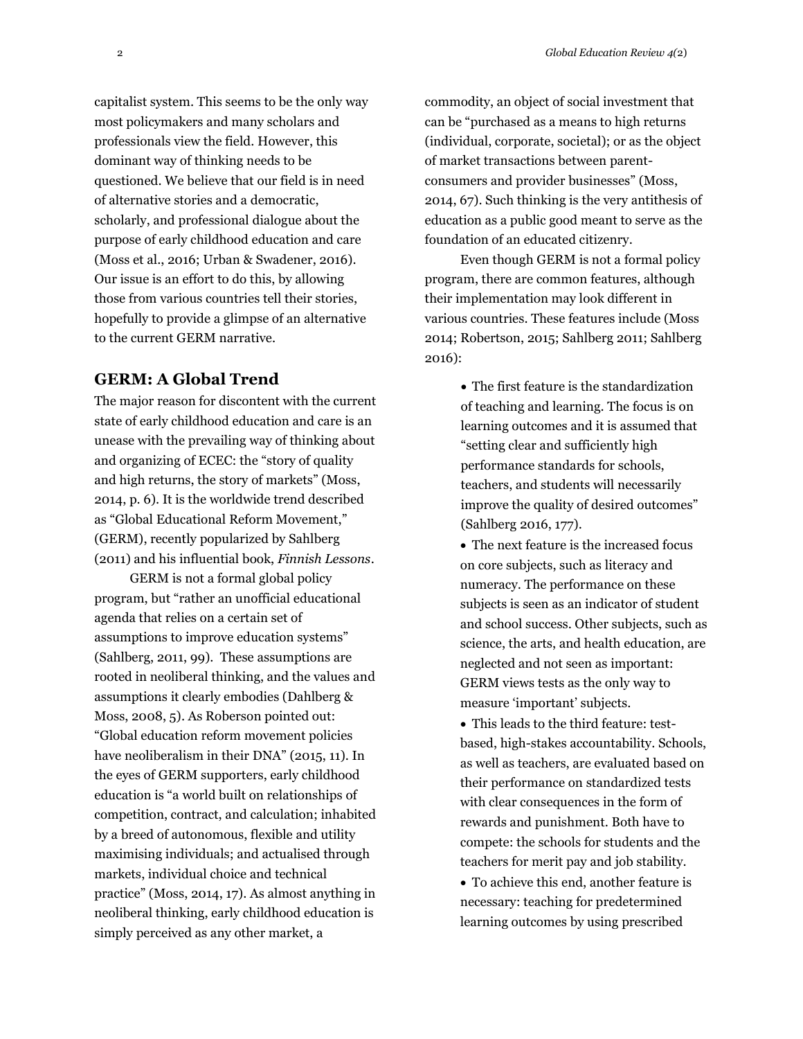capitalist system. This seems to be the only way most policymakers and many scholars and professionals view the field. However, this dominant way of thinking needs to be questioned. We believe that our field is in need of alternative stories and a democratic, scholarly, and professional dialogue about the purpose of early childhood education and care (Moss et al., 2016; Urban & Swadener, 2016). Our issue is an effort to do this, by allowing those from various countries tell their stories, hopefully to provide a glimpse of an alternative to the current GERM narrative.

### **GERM: A Global Trend**

The major reason for discontent with the current state of early childhood education and care is an unease with the prevailing way of thinking about and organizing of ECEC: the "story of quality and high returns, the story of markets" (Moss, 2014, p. 6). It is the worldwide trend described as "Global Educational Reform Movement," (GERM), recently popularized by Sahlberg (2011) and his influential book, *Finnish Lessons*.

GERM is not a formal global policy program, but "rather an unofficial educational agenda that relies on a certain set of assumptions to improve education systems" (Sahlberg, 2011, 99). These assumptions are rooted in neoliberal thinking, and the values and assumptions it clearly embodies (Dahlberg & Moss, 2008, 5). As Roberson pointed out: "Global education reform movement policies have neoliberalism in their DNA" (2015, 11). In the eyes of GERM supporters, early childhood education is "a world built on relationships of competition, contract, and calculation; inhabited by a breed of autonomous, flexible and utility maximising individuals; and actualised through markets, individual choice and technical practice" (Moss, 2014, 17). As almost anything in neoliberal thinking, early childhood education is simply perceived as any other market, a

commodity, an object of social investment that can be "purchased as a means to high returns (individual, corporate, societal); or as the object of market transactions between parentconsumers and provider businesses" (Moss, 2014, 67). Such thinking is the very antithesis of education as a public good meant to serve as the foundation of an educated citizenry.

Even though GERM is not a formal policy program, there are common features, although their implementation may look different in various countries. These features include (Moss 2014; Robertson, 2015; Sahlberg 2011; Sahlberg 2016):

> The first feature is the standardization of teaching and learning. The focus is on learning outcomes and it is assumed that "setting clear and sufficiently high performance standards for schools, teachers, and students will necessarily improve the quality of desired outcomes" (Sahlberg 2016, 177).

 The next feature is the increased focus on core subjects, such as literacy and numeracy. The performance on these subjects is seen as an indicator of student and school success. Other subjects, such as science, the arts, and health education, are neglected and not seen as important: GERM views tests as the only way to measure 'important' subjects.

 This leads to the third feature: testbased, high-stakes accountability. Schools, as well as teachers, are evaluated based on their performance on standardized tests with clear consequences in the form of rewards and punishment. Both have to compete: the schools for students and the teachers for merit pay and job stability.

 To achieve this end, another feature is necessary: teaching for predetermined learning outcomes by using prescribed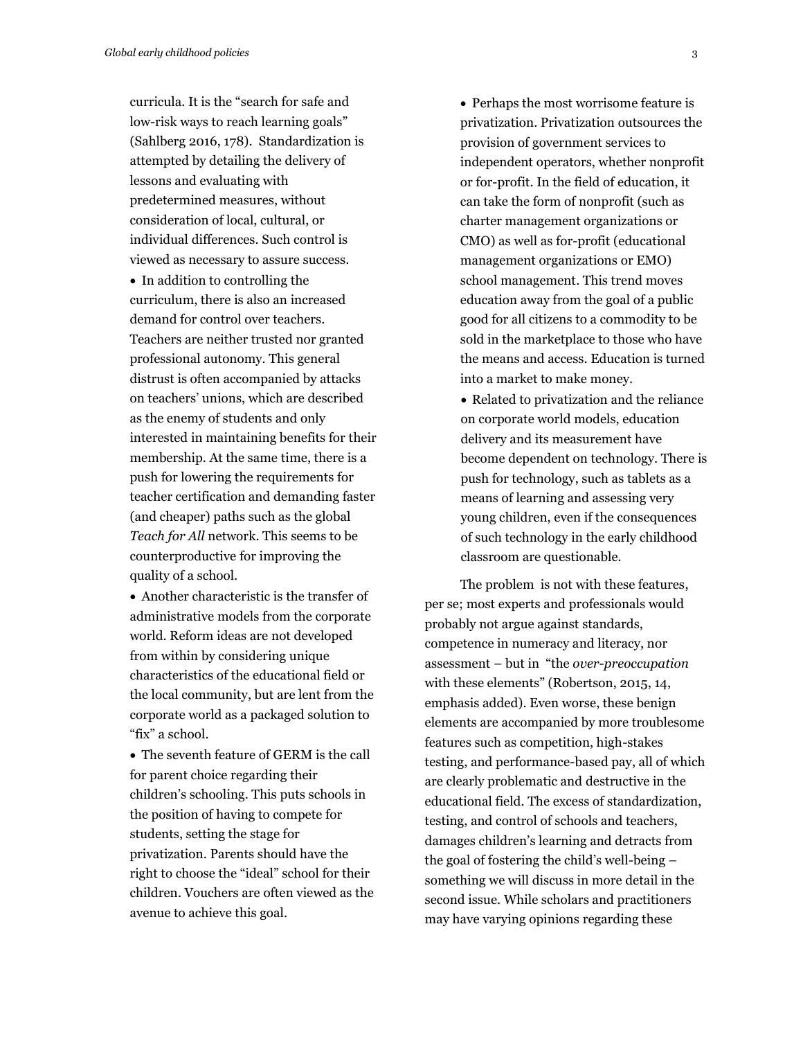curricula. It is the "search for safe and low-risk ways to reach learning goals" (Sahlberg 2016, 178). Standardization is attempted by detailing the delivery of lessons and evaluating with predetermined measures, without consideration of local, cultural, or individual differences. Such control is viewed as necessary to assure success.

• In addition to controlling the curriculum, there is also an increased demand for control over teachers. Teachers are neither trusted nor granted professional autonomy. This general distrust is often accompanied by attacks on teachers' unions, which are described as the enemy of students and only interested in maintaining benefits for their membership. At the same time, there is a push for lowering the requirements for teacher certification and demanding faster (and cheaper) paths such as the global *Teach for All* network. This seems to be counterproductive for improving the quality of a school.

 Another characteristic is the transfer of administrative models from the corporate world. Reform ideas are not developed from within by considering unique characteristics of the educational field or the local community, but are lent from the corporate world as a packaged solution to "fix" a school.

 The seventh feature of GERM is the call for parent choice regarding their children's schooling. This puts schools in the position of having to compete for students, setting the stage for privatization. Parents should have the right to choose the "ideal" school for their children. Vouchers are often viewed as the avenue to achieve this goal.

• Perhaps the most worrisome feature is privatization. Privatization outsources the provision of government services to independent operators, whether nonprofit or for-profit. In the field of education, it can take the form of nonprofit (such as charter management organizations or CMO) as well as for-profit (educational management organizations or EMO) school management. This trend moves education away from the goal of a public good for all citizens to a commodity to be sold in the marketplace to those who have the means and access. Education is turned into a market to make money.

 Related to privatization and the reliance on corporate world models, education delivery and its measurement have become dependent on technology. There is push for technology, such as tablets as a means of learning and assessing very young children, even if the consequences of such technology in the early childhood classroom are questionable.

The problem is not with these features, per se; most experts and professionals would probably not argue against standards, competence in numeracy and literacy, nor assessment – but in "the *over-preoccupation* with these elements" (Robertson, 2015, 14, emphasis added). Even worse, these benign elements are accompanied by more troublesome features such as competition, high-stakes testing, and performance-based pay, all of which are clearly problematic and destructive in the educational field. The excess of standardization, testing, and control of schools and teachers, damages children's learning and detracts from the goal of fostering the child's well-being – something we will discuss in more detail in the second issue. While scholars and practitioners may have varying opinions regarding these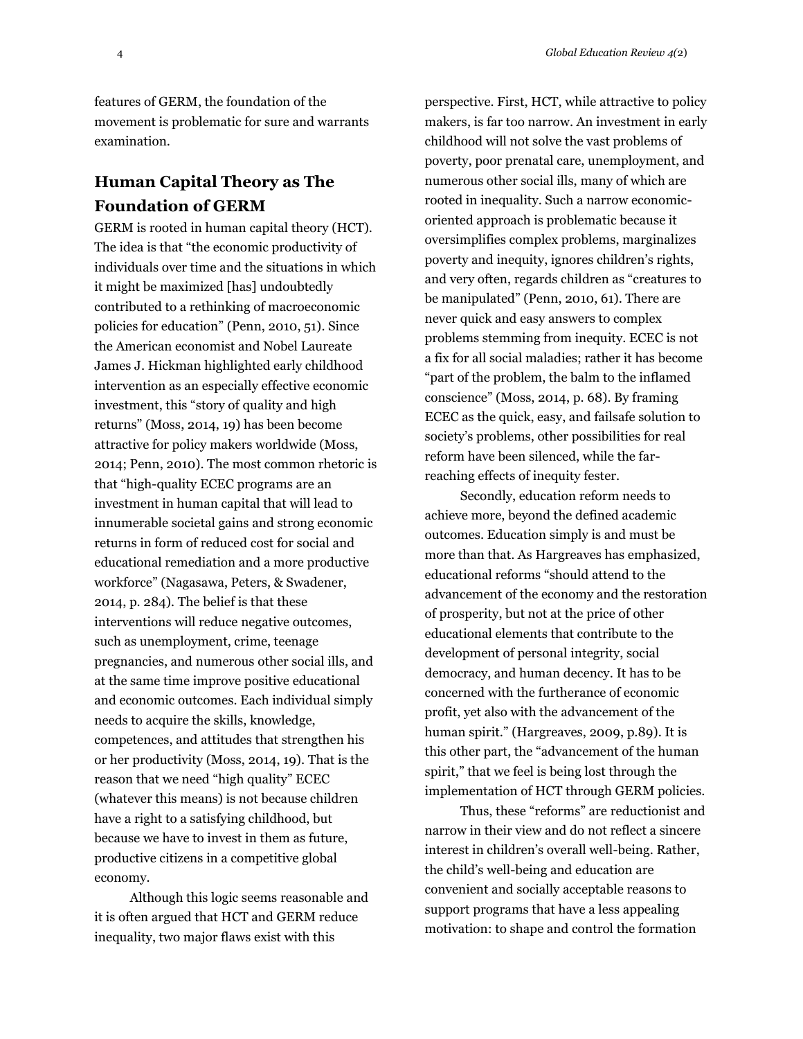features of GERM, the foundation of the movement is problematic for sure and warrants examination.

## **Human Capital Theory as The Foundation of GERM**

GERM is rooted in human capital theory (HCT). The idea is that "the economic productivity of individuals over time and the situations in which it might be maximized [has] undoubtedly contributed to a rethinking of macroeconomic policies for education" (Penn, 2010, 51). Since the American economist and Nobel Laureate James J. Hickman highlighted early childhood intervention as an especially effective economic investment, this "story of quality and high returns" (Moss, 2014, 19) has been become attractive for policy makers worldwide (Moss, 2014; Penn, 2010). The most common rhetoric is that "high-quality ECEC programs are an investment in human capital that will lead to innumerable societal gains and strong economic returns in form of reduced cost for social and educational remediation and a more productive workforce" (Nagasawa, Peters, & Swadener, 2014, p. 284)*.* The belief is that these interventions will reduce negative outcomes, such as unemployment, crime, teenage pregnancies, and numerous other social ills, and at the same time improve positive educational and economic outcomes. Each individual simply needs to acquire the skills, knowledge, competences, and attitudes that strengthen his or her productivity (Moss, 2014, 19). That is the reason that we need "high quality" ECEC (whatever this means) is not because children have a right to a satisfying childhood, but because we have to invest in them as future, productive citizens in a competitive global economy.

Although this logic seems reasonable and it is often argued that HCT and GERM reduce inequality, two major flaws exist with this

perspective. First, HCT, while attractive to policy makers, is far too narrow. An investment in early childhood will not solve the vast problems of poverty, poor prenatal care, unemployment, and numerous other social ills, many of which are rooted in inequality. Such a narrow economicoriented approach is problematic because it oversimplifies complex problems, marginalizes poverty and inequity, ignores children's rights, and very often, regards children as "creatures to be manipulated" (Penn, 2010, 61). There are never quick and easy answers to complex problems stemming from inequity. ECEC is not a fix for all social maladies; rather it has become "part of the problem, the balm to the inflamed conscience" (Moss, 2014, p. 68). By framing ECEC as the quick, easy, and failsafe solution to society's problems, other possibilities for real reform have been silenced, while the farreaching effects of inequity fester.

Secondly, education reform needs to achieve more, beyond the defined academic outcomes. Education simply is and must be more than that. As Hargreaves has emphasized, educational reforms "should attend to the advancement of the economy and the restoration of prosperity, but not at the price of other educational elements that contribute to the development of personal integrity, social democracy, and human decency. It has to be concerned with the furtherance of economic profit, yet also with the advancement of the human spirit." (Hargreaves, 2009, p.89). It is this other part, the "advancement of the human spirit," that we feel is being lost through the implementation of HCT through GERM policies.

Thus, these "reforms" are reductionist and narrow in their view and do not reflect a sincere interest in children's overall well-being. Rather, the child's well-being and education are convenient and socially acceptable reasons to support programs that have a less appealing motivation: to shape and control the formation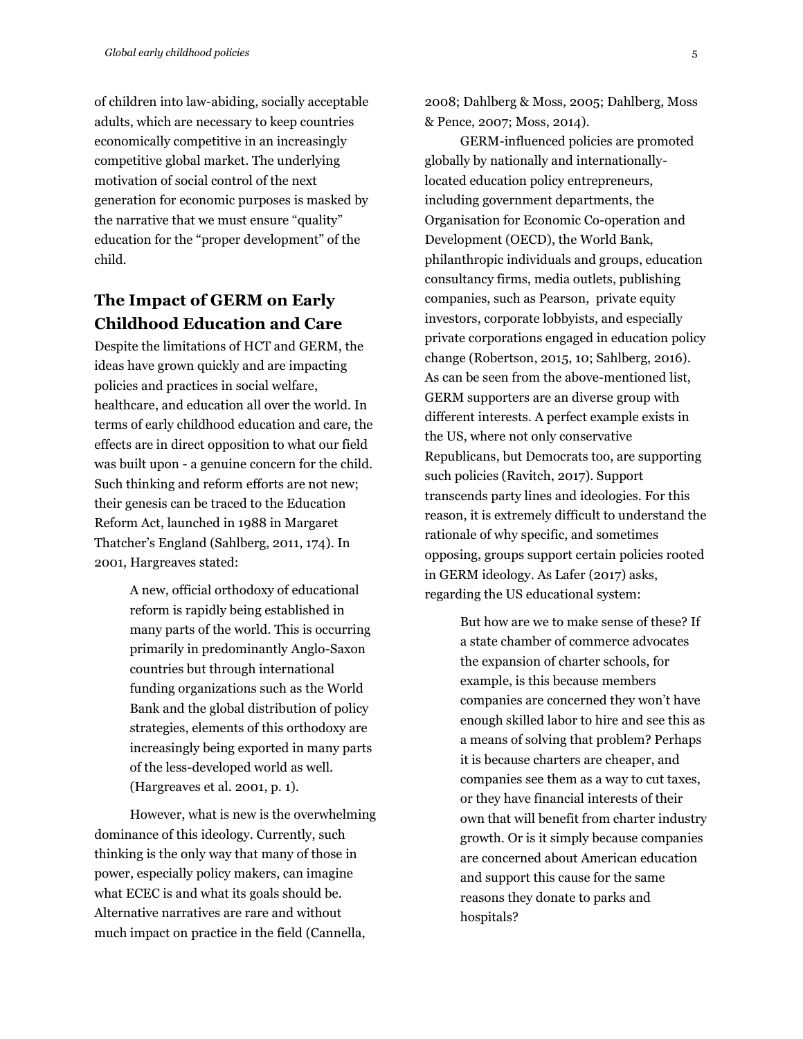of children into law-abiding, socially acceptable adults, which are necessary to keep countries economically competitive in an increasingly competitive global market. The underlying motivation of social control of the next generation for economic purposes is masked by the narrative that we must ensure "quality" education for the "proper development" of the child.

### **The Impact of GERM on Early Childhood Education and Care**

Despite the limitations of HCT and GERM, the ideas have grown quickly and are impacting policies and practices in social welfare, healthcare, and education all over the world. In terms of early childhood education and care, the effects are in direct opposition to what our field was built upon - a genuine concern for the child. Such thinking and reform efforts are not new; their genesis can be traced to the Education Reform Act, launched in 1988 in Margaret Thatcher's England (Sahlberg, 2011, 174). In 2001, Hargreaves stated:

> A new, official orthodoxy of educational reform is rapidly being established in many parts of the world. This is occurring primarily in predominantly Anglo-Saxon countries but through international funding organizations such as the World Bank and the global distribution of policy strategies, elements of this orthodoxy are increasingly being exported in many parts of the less-developed world as well. (Hargreaves et al. 2001, p. 1).

However, what is new is the overwhelming dominance of this ideology. Currently, such thinking is the only way that many of those in power, especially policy makers, can imagine what ECEC is and what its goals should be. Alternative narratives are rare and without much impact on practice in the field (Cannella,

2008; Dahlberg & Moss, 2005; Dahlberg, Moss & Pence, 2007; Moss, 2014).

GERM-influenced policies are promoted globally by nationally and internationallylocated education policy entrepreneurs, including government departments, the Organisation for Economic Co-operation and Development (OECD), the World Bank, philanthropic individuals and groups, education consultancy firms, media outlets, publishing companies, such as Pearson, private equity investors, corporate lobbyists, and especially private corporations engaged in education policy change (Robertson, 2015, 10; Sahlberg, 2016). As can be seen from the above-mentioned list, GERM supporters are an diverse group with different interests. A perfect example exists in the US, where not only conservative Republicans, but Democrats too, are supporting such policies (Ravitch, 2017). Support transcends party lines and ideologies. For this reason, it is extremely difficult to understand the rationale of why specific, and sometimes opposing, groups support certain policies rooted in GERM ideology. As Lafer (2017) asks, regarding the US educational system:

> But how are we to make sense of these? If a state chamber of commerce advocates the expansion of charter schools, for example, is this because members companies are concerned they won't have enough skilled labor to hire and see this as a means of solving that problem? Perhaps it is because charters are cheaper, and companies see them as a way to cut taxes, or they have financial interests of their own that will benefit from charter industry growth. Or is it simply because companies are concerned about American education and support this cause for the same reasons they donate to parks and hospitals?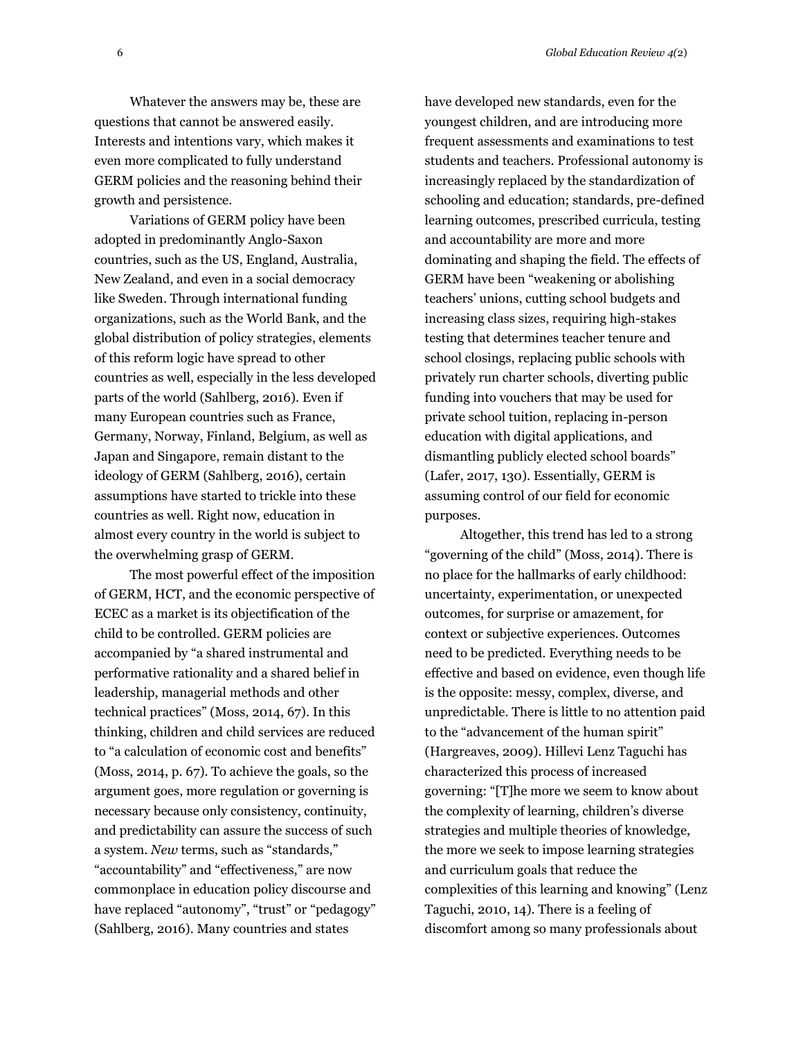Whatever the answers may be, these are questions that cannot be answered easily. Interests and intentions vary, which makes it even more complicated to fully understand GERM policies and the reasoning behind their growth and persistence.

Variations of GERM policy have been adopted in predominantly Anglo-Saxon countries, such as the US, England, Australia, New Zealand, and even in a social democracy like Sweden. Through international funding organizations, such as the World Bank, and the global distribution of policy strategies, elements of this reform logic have spread to other countries as well, especially in the less developed parts of the world (Sahlberg, 2016). Even if many European countries such as France, Germany, Norway, Finland, Belgium, as well as Japan and Singapore, remain distant to the ideology of GERM (Sahlberg, 2016), certain assumptions have started to trickle into these countries as well. Right now, education in almost every country in the world is subject to the overwhelming grasp of GERM.

The most powerful effect of the imposition of GERM, HCT, and the economic perspective of ECEC as a market is its objectification of the child to be controlled. GERM policies are accompanied by "a shared instrumental and performative rationality and a shared belief in leadership, managerial methods and other technical practices" (Moss, 2014, 67). In this thinking, children and child services are reduced to "a calculation of economic cost and benefits" (Moss, 2014, p. 67). To achieve the goals, so the argument goes, more regulation or governing is necessary because only consistency, continuity, and predictability can assure the success of such a system. *New* terms, such as "standards," "accountability" and "effectiveness," are now commonplace in education policy discourse and have replaced "autonomy", "trust" or "pedagogy" (Sahlberg, 2016). Many countries and states

have developed new standards, even for the youngest children, and are introducing more frequent assessments and examinations to test students and teachers. Professional autonomy is increasingly replaced by the standardization of schooling and education; standards, pre-defined learning outcomes, prescribed curricula, testing and accountability are more and more dominating and shaping the field. The effects of GERM have been "weakening or abolishing teachers' unions, cutting school budgets and increasing class sizes, requiring high-stakes testing that determines teacher tenure and school closings, replacing public schools with privately run charter schools, diverting public funding into vouchers that may be used for private school tuition, replacing in-person education with digital applications, and dismantling publicly elected school boards" (Lafer, 2017, 130). Essentially, GERM is assuming control of our field for economic purposes.

Altogether, this trend has led to a strong "governing of the child" (Moss, 2014). There is no place for the hallmarks of early childhood: uncertainty, experimentation, or unexpected outcomes, for surprise or amazement, for context or subjective experiences. Outcomes need to be predicted. Everything needs to be effective and based on evidence, even though life is the opposite: messy, complex, diverse, and unpredictable. There is little to no attention paid to the "advancement of the human spirit" (Hargreaves, 2009). Hillevi Lenz Taguchi has characterized this process of increased governing: "[T]he more we seem to know about the complexity of learning, children's diverse strategies and multiple theories of knowledge, the more we seek to impose learning strategies and curriculum goals that reduce the complexities of this learning and knowing" (Lenz Taguchi, 2010, 14). There is a feeling of discomfort among so many professionals about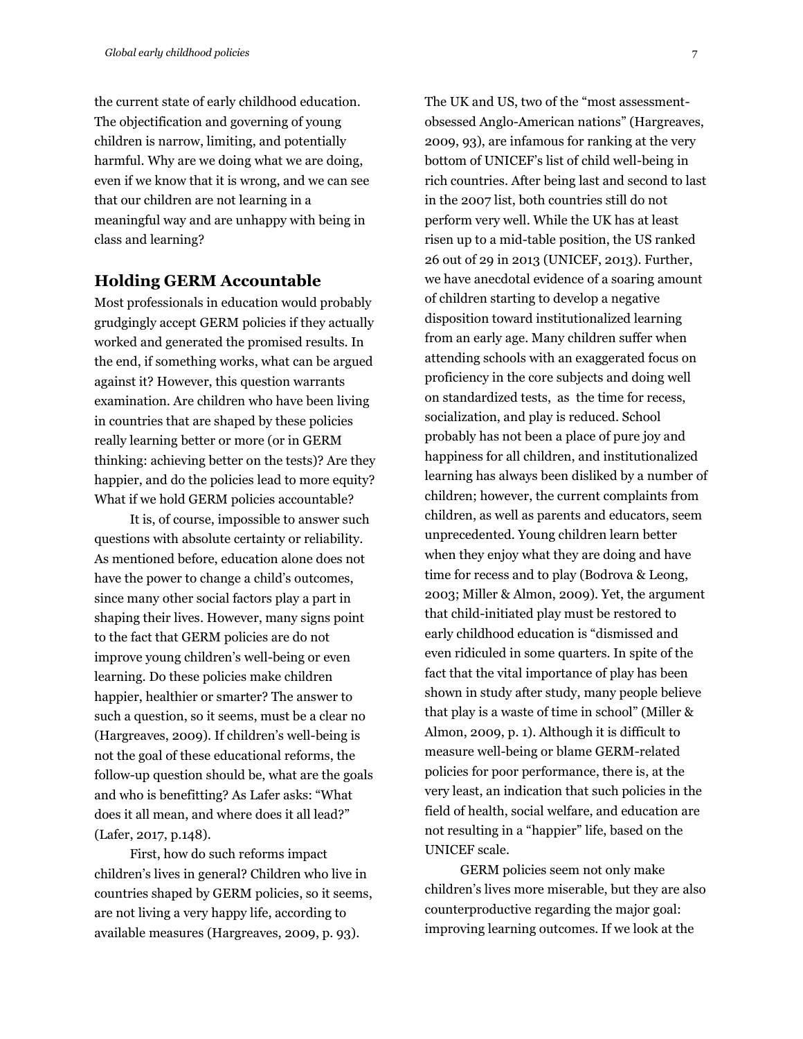the current state of early childhood education. The objectification and governing of young children is narrow, limiting, and potentially harmful. Why are we doing what we are doing, even if we know that it is wrong, and we can see that our children are not learning in a meaningful way and are unhappy with being in class and learning?

### **Holding GERM Accountable**

Most professionals in education would probably grudgingly accept GERM policies if they actually worked and generated the promised results. In the end, if something works, what can be argued against it? However, this question warrants examination. Are children who have been living in countries that are shaped by these policies really learning better or more (or in GERM thinking: achieving better on the tests)? Are they happier, and do the policies lead to more equity? What if we hold GERM policies accountable?

It is, of course, impossible to answer such questions with absolute certainty or reliability. As mentioned before, education alone does not have the power to change a child's outcomes, since many other social factors play a part in shaping their lives. However, many signs point to the fact that GERM policies are do not improve young children's well-being or even learning. Do these policies make children happier, healthier or smarter? The answer to such a question, so it seems, must be a clear no (Hargreaves, 2009). If children's well-being is not the goal of these educational reforms, the follow-up question should be, what are the goals and who is benefitting? As Lafer asks: "What does it all mean, and where does it all lead?" (Lafer, 2017, p.148).

First, how do such reforms impact children's lives in general? Children who live in countries shaped by GERM policies, so it seems, are not living a very happy life, according to available measures (Hargreaves, 2009, p. 93).

The UK and US, two of the "most assessmentobsessed Anglo-American nations" (Hargreaves, 2009, 93), are infamous for ranking at the very bottom of UNICEF's list of child well-being in rich countries. After being last and second to last in the 2007 list, both countries still do not perform very well. While the UK has at least risen up to a mid-table position, the US ranked 26 out of 29 in 2013 (UNICEF, 2013). Further, we have anecdotal evidence of a soaring amount of children starting to develop a negative disposition toward institutionalized learning from an early age. Many children suffer when attending schools with an exaggerated focus on proficiency in the core subjects and doing well on standardized tests, as the time for recess, socialization, and play is reduced. School probably has not been a place of pure joy and happiness for all children, and institutionalized learning has always been disliked by a number of children; however, the current complaints from children, as well as parents and educators, seem unprecedented. Young children learn better when they enjoy what they are doing and have time for recess and to play (Bodrova & Leong, 2003; Miller & Almon, 2009). Yet, the argument that child-initiated play must be restored to early childhood education is "dismissed and even ridiculed in some quarters. In spite of the fact that the vital importance of play has been shown in study after study, many people believe that play is a waste of time in school" (Miller & Almon, 2009, p. 1). Although it is difficult to measure well-being or blame GERM-related policies for poor performance, there is, at the very least, an indication that such policies in the field of health, social welfare, and education are not resulting in a "happier" life, based on the UNICEF scale.

GERM policies seem not only make children's lives more miserable, but they are also counterproductive regarding the major goal: improving learning outcomes. If we look at the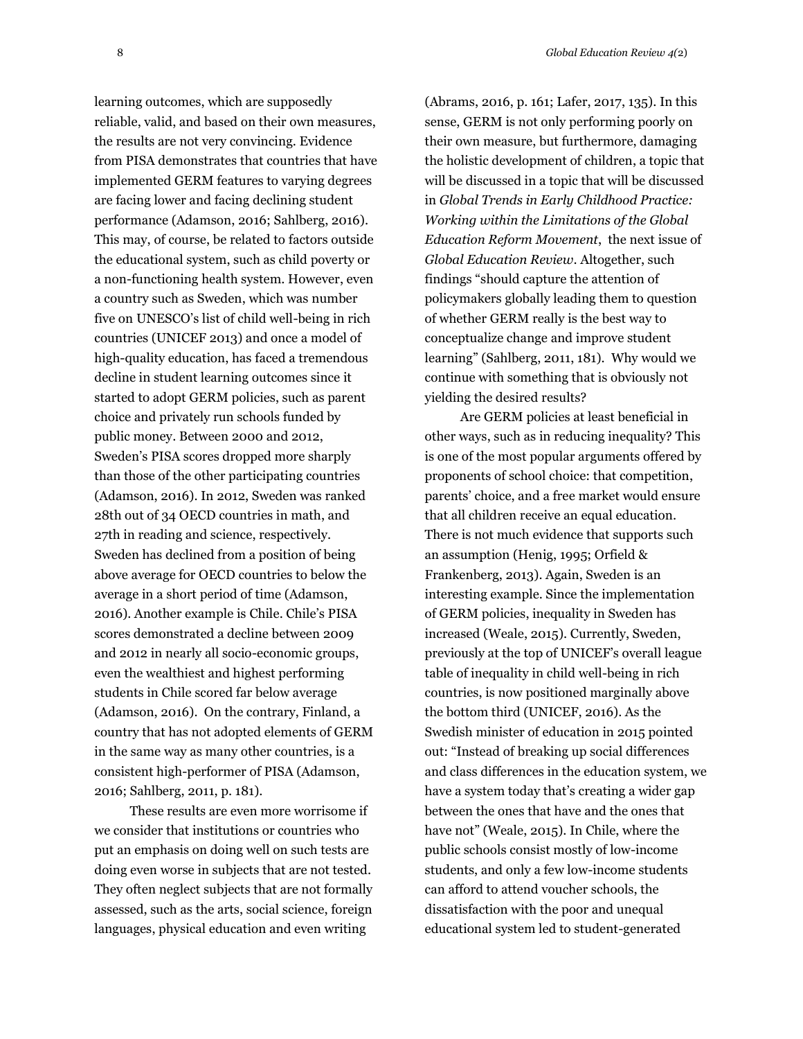learning outcomes, which are supposedly reliable, valid, and based on their own measures, the results are not very convincing. Evidence from PISA demonstrates that countries that have implemented GERM features to varying degrees are facing lower and facing declining student performance (Adamson, 2016; Sahlberg, 2016). This may, of course, be related to factors outside the educational system, such as child poverty or a non-functioning health system. However, even a country such as Sweden, which was number five on UNESCO's list of child well-being in rich countries (UNICEF 2013) and once a model of high-quality education, has faced a tremendous decline in student learning outcomes since it started to adopt GERM policies, such as parent choice and privately run schools funded by public money. Between 2000 and 2012, Sweden's PISA scores dropped more sharply than those of the other participating countries (Adamson, 2016). In 2012, Sweden was ranked 28th out of 34 OECD countries in math, and 27th in reading and science, respectively. Sweden has declined from a position of being above average for OECD countries to below the average in a short period of time (Adamson, 2016). Another example is Chile. Chile's PISA scores demonstrated a decline between 2009 and 2012 in nearly all socio-economic groups, even the wealthiest and highest performing students in Chile scored far below average (Adamson, 2016). On the contrary, Finland, a country that has not adopted elements of GERM in the same way as many other countries, is a consistent high-performer of PISA (Adamson, 2016; Sahlberg, 2011, p. 181).

These results are even more worrisome if we consider that institutions or countries who put an emphasis on doing well on such tests are doing even worse in subjects that are not tested. They often neglect subjects that are not formally assessed, such as the arts, social science, foreign languages, physical education and even writing

(Abrams, 2016, p. 161; Lafer, 2017, 135). In this sense, GERM is not only performing poorly on their own measure, but furthermore, damaging the holistic development of children, a topic that will be discussed in a topic that will be discussed in *Global Trends in Early Childhood Practice: Working within the Limitations of the Global Education Reform Movement*, the next issue of *Global Education Review*. Altogether, such findings "should capture the attention of policymakers globally leading them to question of whether GERM really is the best way to conceptualize change and improve student learning" (Sahlberg, 2011, 181). Why would we continue with something that is obviously not yielding the desired results?

Are GERM policies at least beneficial in other ways, such as in reducing inequality? This is one of the most popular arguments offered by proponents of school choice: that competition, parents' choice, and a free market would ensure that all children receive an equal education. There is not much evidence that supports such an assumption (Henig, 1995; Orfield & Frankenberg, 2013). Again, Sweden is an interesting example. Since the implementation of GERM policies, inequality in Sweden has increased (Weale, 2015). Currently, Sweden, previously at the top of UNICEF's overall league table of inequality in child well-being in rich countries, is now positioned marginally above the bottom third (UNICEF, 2016). As the Swedish minister of education in 2015 pointed out: "Instead of breaking up social differences and class differences in the education system, we have a system today that's creating a wider gap between the ones that have and the ones that have not" (Weale, 2015). In Chile, where the public schools consist mostly of low-income students, and only a few low-income students can afford to attend voucher schools, the dissatisfaction with the poor and unequal educational system led to student-generated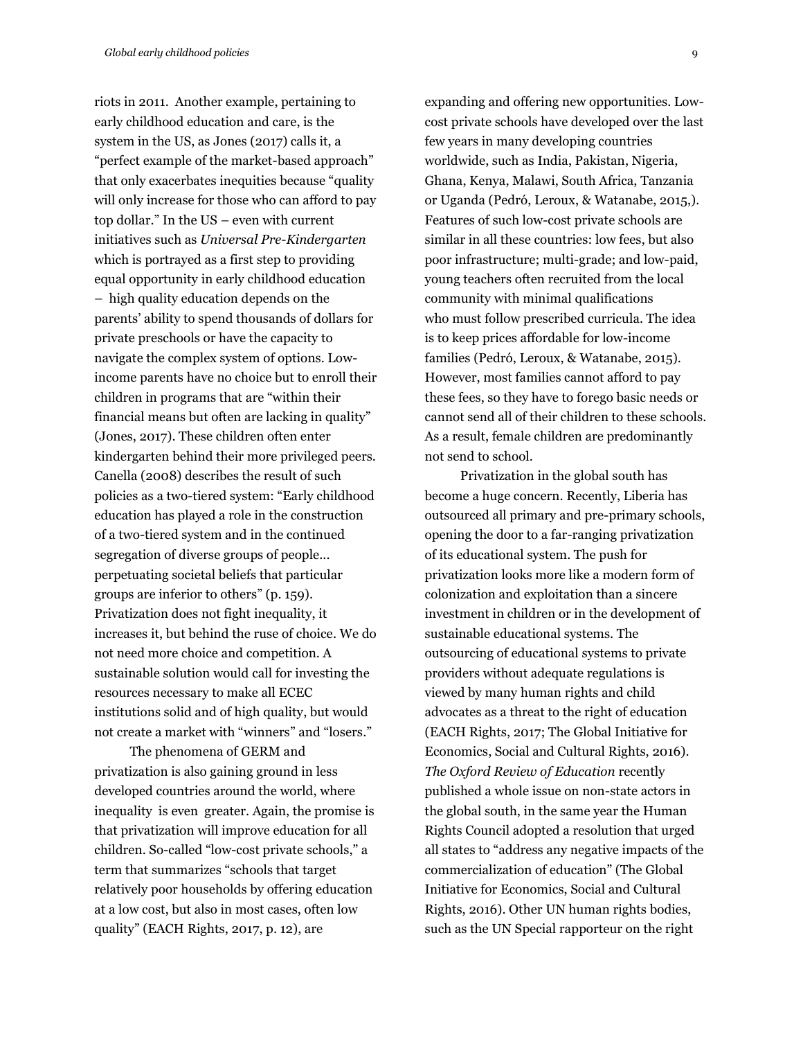riots in 2011. Another example, pertaining to early childhood education and care, is the system in the US, as Jones (2017) calls it, a "perfect example of the market-based approach" that only exacerbates inequities because "quality will only increase for those who can afford to pay top dollar." In the US – even with current initiatives such as *Universal Pre-Kindergarten* which is portrayed as a first step to providing equal opportunity in early childhood education – high quality education depends on the parents' ability to spend thousands of dollars for private preschools or have the capacity to navigate the complex system of options. Lowincome parents have no choice but to enroll their children in programs that are "within their financial means but often are lacking in quality" (Jones, 2017). These children often enter kindergarten behind their more privileged peers. Canella (2008) describes the result of such policies as a two-tiered system: "Early childhood education has played a role in the construction of a two-tiered system and in the continued segregation of diverse groups of people... perpetuating societal beliefs that particular groups are inferior to others" (p. 159). Privatization does not fight inequality, it increases it, but behind the ruse of choice. We do not need more choice and competition. A sustainable solution would call for investing the resources necessary to make all ECEC institutions solid and of high quality, but would not create a market with "winners" and "losers."

The phenomena of GERM and privatization is also gaining ground in less developed countries around the world, where inequality is even greater. Again, the promise is that privatization will improve education for all children. So-called "low-cost private schools," a term that summarizes "schools that target relatively poor households by offering education at a low cost, but also in most cases, often low quality" (EACH Rights, 2017, p. 12), are

expanding and offering new opportunities. Lowcost private schools have developed over the last few years in many developing countries worldwide, such as India, Pakistan, Nigeria, Ghana, Kenya, Malawi, South Africa, Tanzania or Uganda (Pedró, Leroux, & Watanabe, 2015,). Features of such low-cost private schools are similar in all these countries: low fees, but also poor infrastructure; multi-grade; and low-paid, young teachers often recruited from the local community with minimal qualifications who must follow prescribed curricula. The idea is to keep prices affordable for low-income families (Pedró, Leroux, & Watanabe, 2015). However, most families cannot afford to pay these fees, so they have to forego basic needs or cannot send all of their children to these schools. As a result, female children are predominantly not send to school.

Privatization in the global south has become a huge concern. Recently, Liberia has outsourced all primary and pre-primary schools, opening the door to a far-ranging privatization of its educational system. The push for privatization looks more like a modern form of colonization and exploitation than a sincere investment in children or in the development of sustainable educational systems. The outsourcing of educational systems to private providers without adequate regulations is viewed by many human rights and child advocates as a threat to the right of education (EACH Rights, 2017; The Global Initiative for Economics, Social and Cultural Rights, 2016). *The Oxford Review of Education* recently published a whole issue on non-state actors in the global south, in the same year the Human Rights Council adopted a resolution that urged all states to "address any negative impacts of the commercialization of education" (The Global Initiative for Economics, Social and Cultural Rights, 2016). Other UN human rights bodies, such as the UN Special rapporteur on the right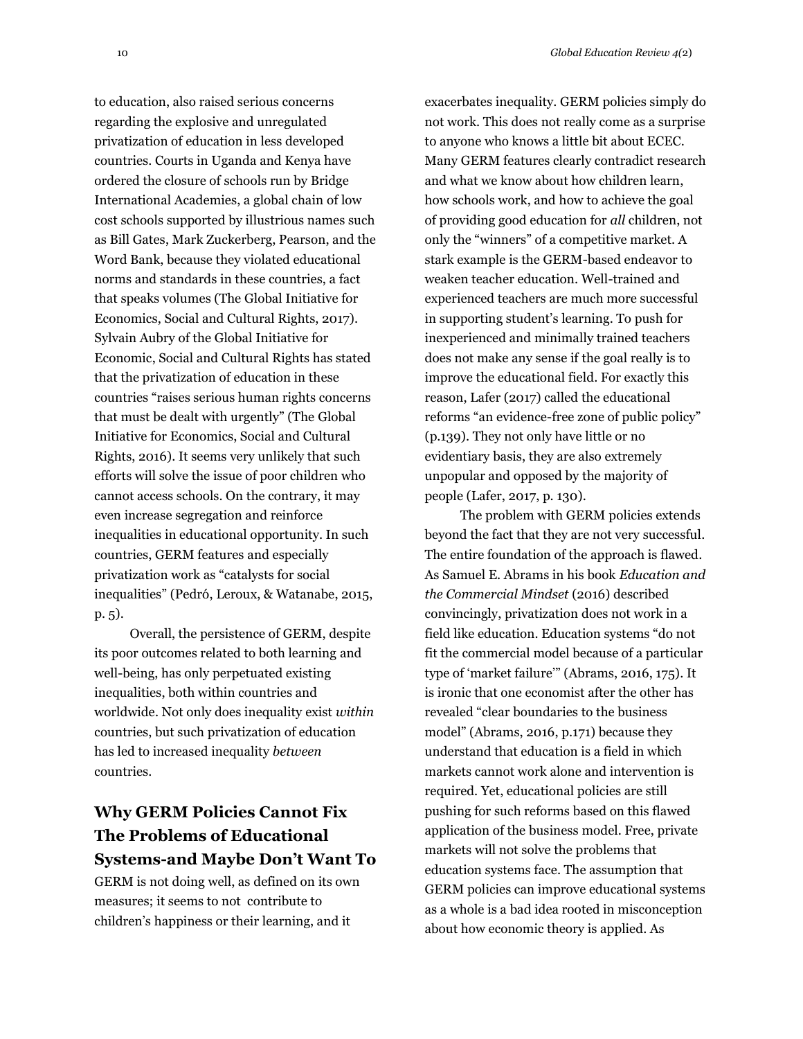to education, also raised serious concerns regarding the explosive and unregulated privatization of education in less developed countries. Courts in Uganda and Kenya have ordered the closure of schools run by Bridge International Academies, a global chain of low cost schools supported by illustrious names such as Bill Gates, Mark Zuckerberg, Pearson, and the Word Bank, because they violated educational norms and standards in these countries, a fact that speaks volumes (The Global Initiative for Economics, Social and Cultural Rights, 2017). Sylvain Aubry of the Global Initiative for Economic, Social and Cultural Rights has stated that the privatization of education in these countries "raises serious human rights concerns that must be dealt with urgently" (The Global Initiative for Economics, Social and Cultural Rights, 2016). It seems very unlikely that such efforts will solve the issue of poor children who cannot access schools. On the contrary, it may even increase segregation and reinforce inequalities in educational opportunity. In such countries, GERM features and especially privatization work as "catalysts for social inequalities" (Pedró, Leroux, & Watanabe, 2015, p. 5).

Overall, the persistence of GERM, despite its poor outcomes related to both learning and well-being, has only perpetuated existing inequalities, both within countries and worldwide. Not only does inequality exist *within*  countries, but such privatization of education has led to increased inequality *between* countries.

## **Why GERM Policies Cannot Fix The Problems of Educational Systems-and Maybe Don't Want To**

GERM is not doing well, as defined on its own measures; it seems to not contribute to children's happiness or their learning, and it

exacerbates inequality. GERM policies simply do not work. This does not really come as a surprise to anyone who knows a little bit about ECEC. Many GERM features clearly contradict research and what we know about how children learn, how schools work, and how to achieve the goal of providing good education for *all* children, not only the "winners" of a competitive market. A stark example is the GERM-based endeavor to weaken teacher education. Well-trained and experienced teachers are much more successful in supporting student's learning. To push for inexperienced and minimally trained teachers does not make any sense if the goal really is to improve the educational field. For exactly this reason, Lafer (2017) called the educational reforms "an evidence-free zone of public policy" (p.139). They not only have little or no evidentiary basis, they are also extremely unpopular and opposed by the majority of people (Lafer, 2017, p. 130).

The problem with GERM policies extends beyond the fact that they are not very successful. The entire foundation of the approach is flawed. As Samuel E. Abrams in his book *Education and the Commercial Mindset* (2016) described convincingly, privatization does not work in a field like education. Education systems "do not fit the commercial model because of a particular type of 'market failure'" (Abrams, 2016, 175). It is ironic that one economist after the other has revealed "clear boundaries to the business model" (Abrams, 2016, p.171) because they understand that education is a field in which markets cannot work alone and intervention is required. Yet, educational policies are still pushing for such reforms based on this flawed application of the business model. Free, private markets will not solve the problems that education systems face. The assumption that GERM policies can improve educational systems as a whole is a bad idea rooted in misconception about how economic theory is applied. As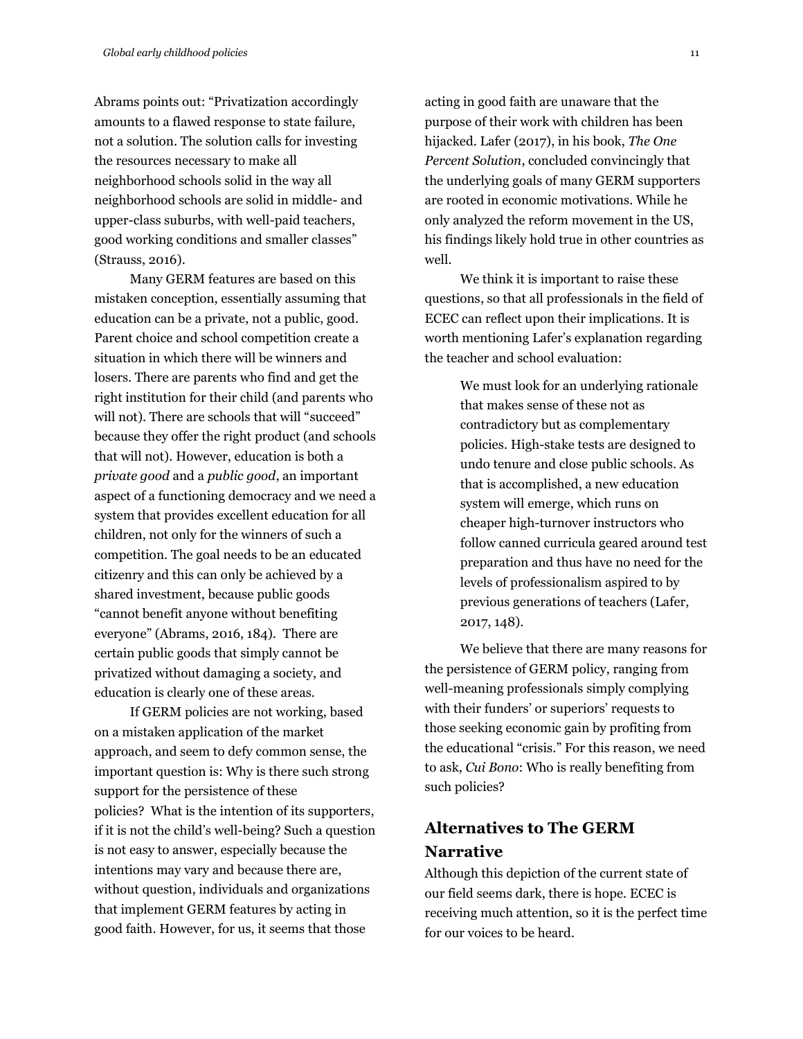Abrams points out: "Privatization accordingly amounts to a flawed response to state failure, not a solution. The solution calls for investing the resources necessary to make all neighborhood schools solid in the way all neighborhood schools are solid in middle- and upper-class suburbs, with well-paid teachers, good working conditions and smaller classes" (Strauss, 2016).

Many GERM features are based on this mistaken conception, essentially assuming that education can be a private, not a public, good. Parent choice and school competition create a situation in which there will be winners and losers. There are parents who find and get the right institution for their child (and parents who will not). There are schools that will "succeed" because they offer the right product (and schools that will not). However, education is both a *private good* and a *public good*, an important aspect of a functioning democracy and we need a system that provides excellent education for all children, not only for the winners of such a competition. The goal needs to be an educated citizenry and this can only be achieved by a shared investment, because public goods "cannot benefit anyone without benefiting everyone" (Abrams, 2016, 184). There are certain public goods that simply cannot be privatized without damaging a society, and education is clearly one of these areas.

If GERM policies are not working, based on a mistaken application of the market approach, and seem to defy common sense, the important question is: Why is there such strong support for the persistence of these policies? What is the intention of its supporters, if it is not the child's well-being? Such a question is not easy to answer, especially because the intentions may vary and because there are, without question, individuals and organizations that implement GERM features by acting in good faith. However, for us, it seems that those

acting in good faith are unaware that the purpose of their work with children has been hijacked. Lafer (2017), in his book, *The One Percent Solution*, concluded convincingly that the underlying goals of many GERM supporters are rooted in economic motivations. While he only analyzed the reform movement in the US, his findings likely hold true in other countries as well.

We think it is important to raise these questions, so that all professionals in the field of ECEC can reflect upon their implications. It is worth mentioning Lafer's explanation regarding the teacher and school evaluation:

> We must look for an underlying rationale that makes sense of these not as contradictory but as complementary policies. High-stake tests are designed to undo tenure and close public schools. As that is accomplished, a new education system will emerge, which runs on cheaper high-turnover instructors who follow canned curricula geared around test preparation and thus have no need for the levels of professionalism aspired to by previous generations of teachers (Lafer, 2017, 148).

We believe that there are many reasons for the persistence of GERM policy, ranging from well-meaning professionals simply complying with their funders' or superiors' requests to those seeking economic gain by profiting from the educational "crisis." For this reason, we need to ask, *Cui Bono*: Who is really benefiting from such policies?

## **Alternatives to The GERM Narrative**

Although this depiction of the current state of our field seems dark, there is hope. ECEC is receiving much attention, so it is the perfect time for our voices to be heard.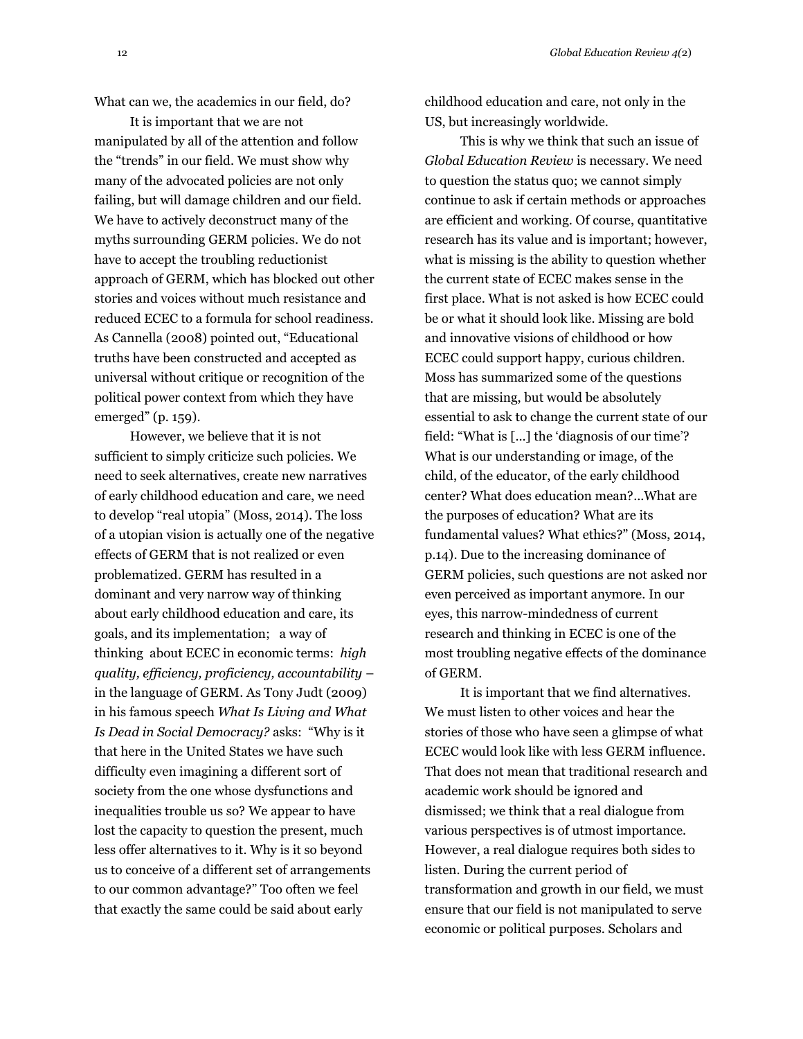What can we, the academics in our field, do?

It is important that we are not manipulated by all of the attention and follow the "trends" in our field. We must show why many of the advocated policies are not only failing, but will damage children and our field. We have to actively deconstruct many of the myths surrounding GERM policies. We do not have to accept the troubling reductionist approach of GERM, which has blocked out other stories and voices without much resistance and reduced ECEC to a formula for school readiness. As Cannella (2008) pointed out, "Educational truths have been constructed and accepted as universal without critique or recognition of the political power context from which they have emerged" (p. 159).

However, we believe that it is not sufficient to simply criticize such policies. We need to seek alternatives, create new narratives of early childhood education and care, we need to develop "real utopia" (Moss, 2014). The loss of a utopian vision is actually one of the negative effects of GERM that is not realized or even problematized. GERM has resulted in a dominant and very narrow way of thinking about early childhood education and care, its goals, and its implementation; a way of thinking about ECEC in economic terms: *high quality, efficiency, proficiency, accountability* – in the language of GERM. As Tony Judt (2009) in his famous speech *What Is Living and What Is Dead in Social Democracy?* asks: "Why is it that here in the United States we have such difficulty even imagining a different sort of society from the one whose dysfunctions and inequalities trouble us so? We appear to have lost the capacity to question the present, much less offer alternatives to it. Why is it so beyond us to conceive of a different set of arrangements to our common advantage?" Too often we feel that exactly the same could be said about early

childhood education and care, not only in the US, but increasingly worldwide.

This is why we think that such an issue of *Global Education Review* is necessary. We need to question the status quo; we cannot simply continue to ask if certain methods or approaches are efficient and working. Of course, quantitative research has its value and is important; however, what is missing is the ability to question whether the current state of ECEC makes sense in the first place. What is not asked is how ECEC could be or what it should look like. Missing are bold and innovative visions of childhood or how ECEC could support happy, curious children. Moss has summarized some of the questions that are missing, but would be absolutely essential to ask to change the current state of our field: "What is [...] the 'diagnosis of our time'? What is our understanding or image, of the child, of the educator, of the early childhood center? What does education mean?...What are the purposes of education? What are its fundamental values? What ethics?" (Moss, 2014, p.14). Due to the increasing dominance of GERM policies, such questions are not asked nor even perceived as important anymore. In our eyes, this narrow-mindedness of current research and thinking in ECEC is one of the most troubling negative effects of the dominance of GERM.

It is important that we find alternatives. We must listen to other voices and hear the stories of those who have seen a glimpse of what ECEC would look like with less GERM influence. That does not mean that traditional research and academic work should be ignored and dismissed; we think that a real dialogue from various perspectives is of utmost importance. However, a real dialogue requires both sides to listen. During the current period of transformation and growth in our field, we must ensure that our field is not manipulated to serve economic or political purposes. Scholars and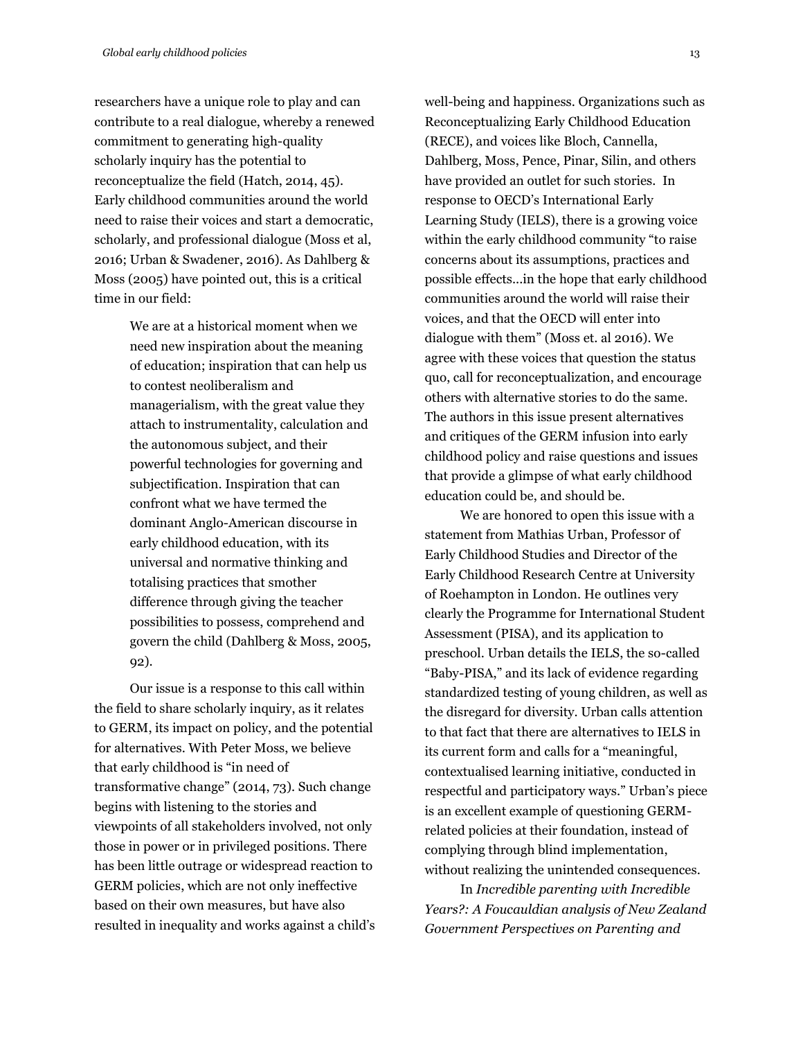researchers have a unique role to play and can contribute to a real dialogue, whereby a renewed commitment to generating high-quality scholarly inquiry has the potential to reconceptualize the field (Hatch, 2014, 45). Early childhood communities around the world need to raise their voices and start a democratic, scholarly, and professional dialogue (Moss et al, 2016; Urban & Swadener, 2016). As Dahlberg & Moss (2005) have pointed out, this is a critical time in our field:

> We are at a historical moment when we need new inspiration about the meaning of education; inspiration that can help us to contest neoliberalism and managerialism, with the great value they attach to instrumentality, calculation and the autonomous subject, and their powerful technologies for governing and subjectification. Inspiration that can confront what we have termed the dominant Anglo-American discourse in early childhood education, with its universal and normative thinking and totalising practices that smother difference through giving the teacher possibilities to possess, comprehend and govern the child (Dahlberg & Moss, 2005, 92).

Our issue is a response to this call within the field to share scholarly inquiry, as it relates to GERM, its impact on policy, and the potential for alternatives. With Peter Moss, we believe that early childhood is "in need of transformative change" (2014, 73). Such change begins with listening to the stories and viewpoints of all stakeholders involved, not only those in power or in privileged positions. There has been little outrage or widespread reaction to GERM policies, which are not only ineffective based on their own measures, but have also resulted in inequality and works against a child's well-being and happiness. Organizations such as Reconceptualizing Early Childhood Education (RECE), and voices like Bloch, Cannella, Dahlberg, Moss, Pence, Pinar, Silin, and others have provided an outlet for such stories. In response to OECD's International Early Learning Study (IELS), there is a growing voice within the early childhood community "to raise concerns about its assumptions, practices and possible effects...in the hope that early childhood communities around the world will raise their voices, and that the OECD will enter into dialogue with them" (Moss et. al 2016). We agree with these voices that question the status quo, call for reconceptualization, and encourage others with alternative stories to do the same. The authors in this issue present alternatives and critiques of the GERM infusion into early childhood policy and raise questions and issues that provide a glimpse of what early childhood education could be, and should be.

We are honored to open this issue with a statement from Mathias Urban, Professor of Early Childhood Studies and Director of the Early Childhood Research Centre at University of Roehampton in London. He outlines very clearly the Programme for International Student Assessment (PISA), and its application to preschool. Urban details the IELS, the so-called "Baby-PISA," and its lack of evidence regarding standardized testing of young children, as well as the disregard for diversity. Urban calls attention to that fact that there are alternatives to IELS in its current form and calls for a "meaningful, contextualised learning initiative, conducted in respectful and participatory ways." Urban's piece is an excellent example of questioning GERMrelated policies at their foundation, instead of complying through blind implementation, without realizing the unintended consequences.

In *Incredible parenting with Incredible Years?: A Foucauldian analysis of New Zealand Government Perspectives on Parenting and*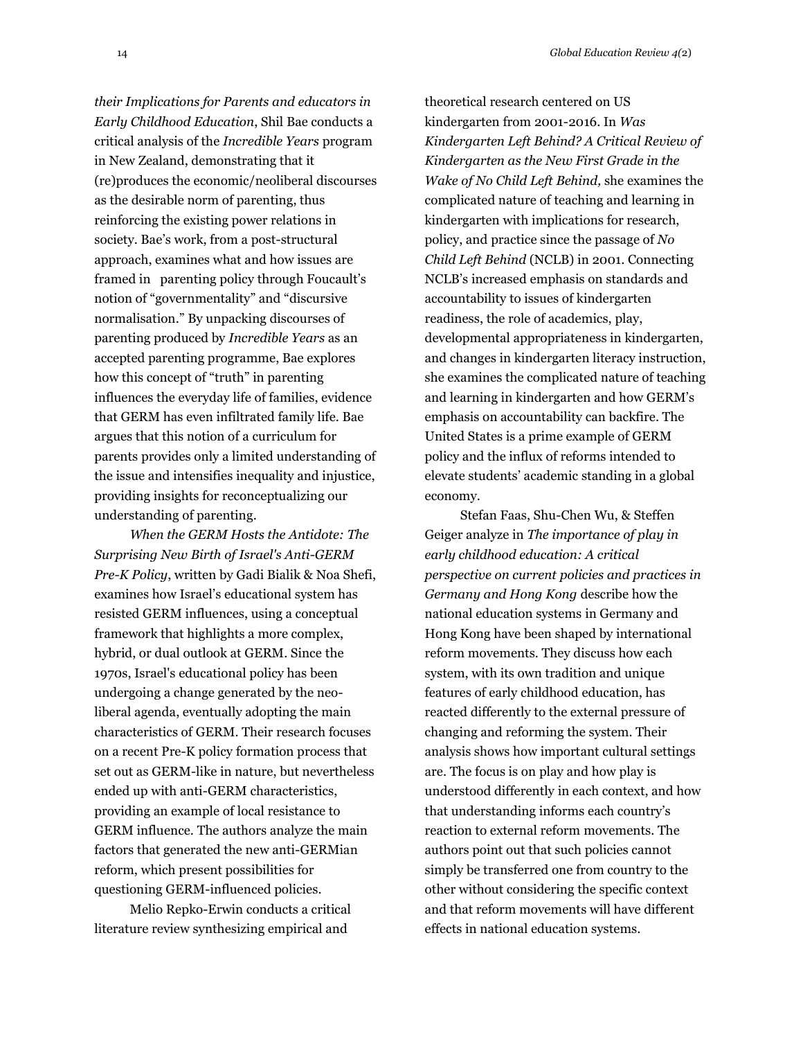*their Implications for Parents and educators in Early Childhood Education*, Shil Bae conducts a critical analysis of the *Incredible Years* program in New Zealand, demonstrating that it (re)produces the economic/neoliberal discourses as the desirable norm of parenting, thus reinforcing the existing power relations in society. Bae's work, from a post-structural approach, examines what and how issues are framed in parenting policy through Foucault's notion of "governmentality" and "discursive

normalisation." By unpacking discourses of parenting produced by *Incredible Years* as an accepted parenting programme, Bae explores how this concept of "truth" in parenting influences the everyday life of families, evidence that GERM has even infiltrated family life. Bae argues that this notion of a curriculum for parents provides only a limited understanding of the issue and intensifies inequality and injustice, providing insights for reconceptualizing our understanding of parenting.

*When the GERM Hosts the Antidote: The Surprising New Birth of Israel's Anti-GERM Pre-K Policy*, written by Gadi Bialik & Noa Shefi, examines how Israel's educational system has resisted GERM influences, using a conceptual framework that highlights a more complex, hybrid, or dual outlook at GERM. Since the 1970s, Israel's educational policy has been undergoing a change generated by the neoliberal agenda, eventually adopting the main characteristics of GERM. Their research focuses on a recent Pre-K policy formation process that set out as GERM-like in nature, but nevertheless ended up with anti-GERM characteristics, providing an example of local resistance to GERM influence. The authors analyze the main factors that generated the new anti-GERMian reform, which present possibilities for questioning GERM-influenced policies.

Melio Repko-Erwin conducts a critical literature review synthesizing empirical and

theoretical research centered on US kindergarten from 2001-2016. In *Was Kindergarten Left Behind? A Critical Review of Kindergarten as the New First Grade in the Wake of No Child Left Behind,* she examines the complicated nature of teaching and learning in kindergarten with implications for research, policy, and practice since the passage of *No Child Left Behind* (NCLB) in 2001. Connecting NCLB's increased emphasis on standards and accountability to issues of kindergarten readiness, the role of academics, play, developmental appropriateness in kindergarten, and changes in kindergarten literacy instruction, she examines the complicated nature of teaching and learning in kindergarten and how GERM's emphasis on accountability can backfire. The United States is a prime example of GERM policy and the influx of reforms intended to elevate students' academic standing in a global economy.

Stefan Faas, Shu-Chen Wu, & Steffen Geiger analyze in *The importance of play in early childhood education: A critical perspective on current policies and practices in Germany and Hong Kong* describe how the national education systems in Germany and Hong Kong have been shaped by international reform movements. They discuss how each system, with its own tradition and unique features of early childhood education, has reacted differently to the external pressure of changing and reforming the system. Their analysis shows how important cultural settings are. The focus is on play and how play is understood differently in each context, and how that understanding informs each country's reaction to external reform movements. The authors point out that such policies cannot simply be transferred one from country to the other without considering the specific context and that reform movements will have different effects in national education systems.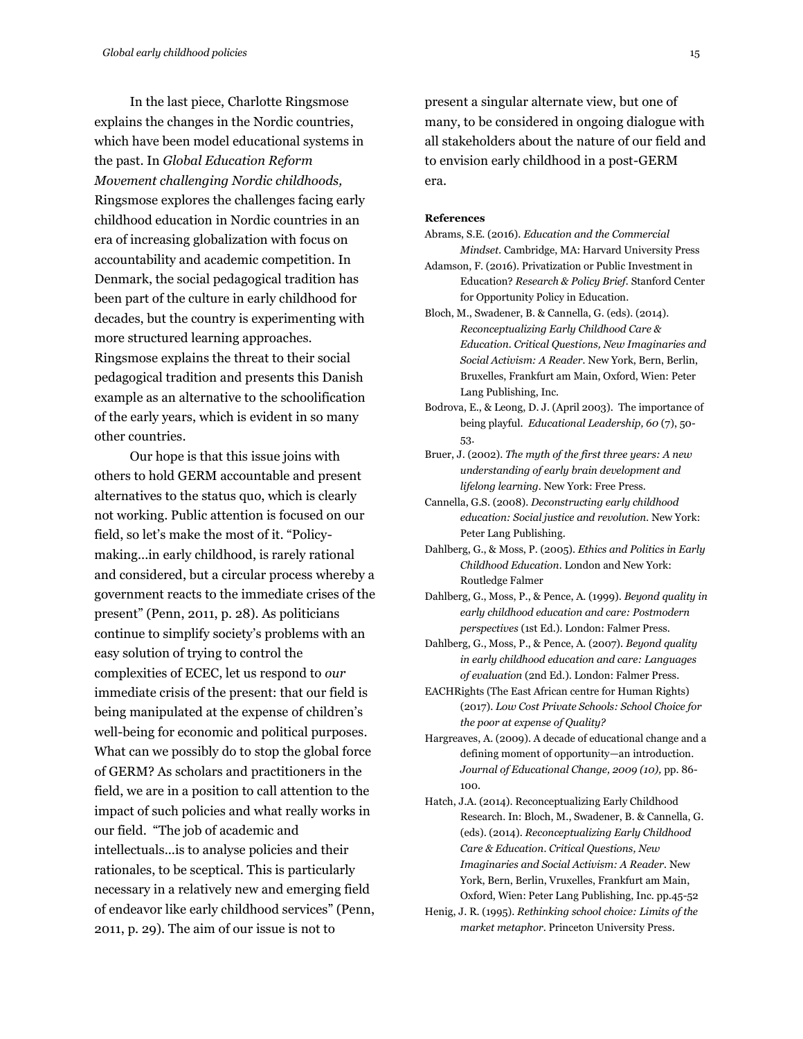In the last piece, Charlotte Ringsmose explains the changes in the Nordic countries, which have been model educational systems in the past. In *Global Education Reform Movement challenging Nordic childhoods,* Ringsmose explores the challenges facing early childhood education in Nordic countries in an era of increasing globalization with focus on accountability and academic competition. In Denmark, the social pedagogical tradition has been part of the culture in early childhood for decades, but the country is experimenting with more structured learning approaches. Ringsmose explains the threat to their social pedagogical tradition and presents this Danish example as an alternative to the schoolification of the early years, which is evident in so many other countries.

Our hope is that this issue joins with others to hold GERM accountable and present alternatives to the status quo, which is clearly not working. Public attention is focused on our field, so let's make the most of it. "Policymaking...in early childhood, is rarely rational and considered, but a circular process whereby a government reacts to the immediate crises of the present" (Penn, 2011, p. 28). As politicians continue to simplify society's problems with an easy solution of trying to control the complexities of ECEC, let us respond to *our*  immediate crisis of the present: that our field is being manipulated at the expense of children's well-being for economic and political purposes. What can we possibly do to stop the global force of GERM? As scholars and practitioners in the field, we are in a position to call attention to the impact of such policies and what really works in our field. "The job of academic and intellectuals...is to analyse policies and their rationales, to be sceptical. This is particularly necessary in a relatively new and emerging field of endeavor like early childhood services" (Penn, 2011, p. 29). The aim of our issue is not to

present a singular alternate view, but one of many, to be considered in ongoing dialogue with all stakeholders about the nature of our field and to envision early childhood in a post-GERM era.

#### **References**

- Abrams, S.E. (2016). *Education and the Commercial Mindset.* Cambridge, MA: Harvard University Press
- Adamson, F. (2016). Privatization or Public Investment in Education? *Research & Policy Brief.* Stanford Center for Opportunity Policy in Education.
- Bloch, M., Swadener, B. & Cannella, G. (eds). (2014). *Reconceptualizing Early Childhood Care & Education. Critical Questions, New Imaginaries and Social Activism: A Reader.* New York, Bern, Berlin, Bruxelles, Frankfurt am Main, Oxford, Wien: Peter Lang Publishing, Inc.
- Bodrova, E., & Leong, D. J. (April 2003). The importance of being playful. *Educational Leadership, 60* (7), 50- 53.
- Bruer, J. (2002). *The myth of the first three years: A new understanding of early brain development and lifelong learning.* New York: Free Press.
- Cannella, G.S. (2008). *Deconstructing early childhood education: Social justice and revolution.* New York: Peter Lang Publishing.
- Dahlberg, G., & Moss, P. (2005). *Ethics and Politics in Early Childhood Education.* London and New York: Routledge Falmer
- Dahlberg, G., Moss, P., & Pence, A. (1999). *Beyond quality in early childhood education and care: Postmodern perspectives* (1st Ed.). London: Falmer Press.
- Dahlberg, G., Moss, P., & Pence, A. (2007). *Beyond quality in early childhood education and care: Languages of evaluation* (2nd Ed.). London: Falmer Press.
- EACHRights (The East African centre for Human Rights) (2017). *Low Cost Private Schools: School Choice for the poor at expense of Quality?*
- Hargreaves, A. (2009). A decade of educational change and a defining moment of opportunity—an introduction. *Journal of Educational Change, 2009 (10),* pp. 86- 100.
- Hatch, J.A. (2014). Reconceptualizing Early Childhood Research. In: Bloch, M., Swadener, B. & Cannella, G. (eds). (2014). *Reconceptualizing Early Childhood Care & Education. Critical Questions, New Imaginaries and Social Activism: A Reader.* New York, Bern, Berlin, Vruxelles, Frankfurt am Main, Oxford, Wien: Peter Lang Publishing, Inc. pp.45-52
- Henig, J. R. (1995). *Rethinking school choice: Limits of the market metaphor*. Princeton University Press.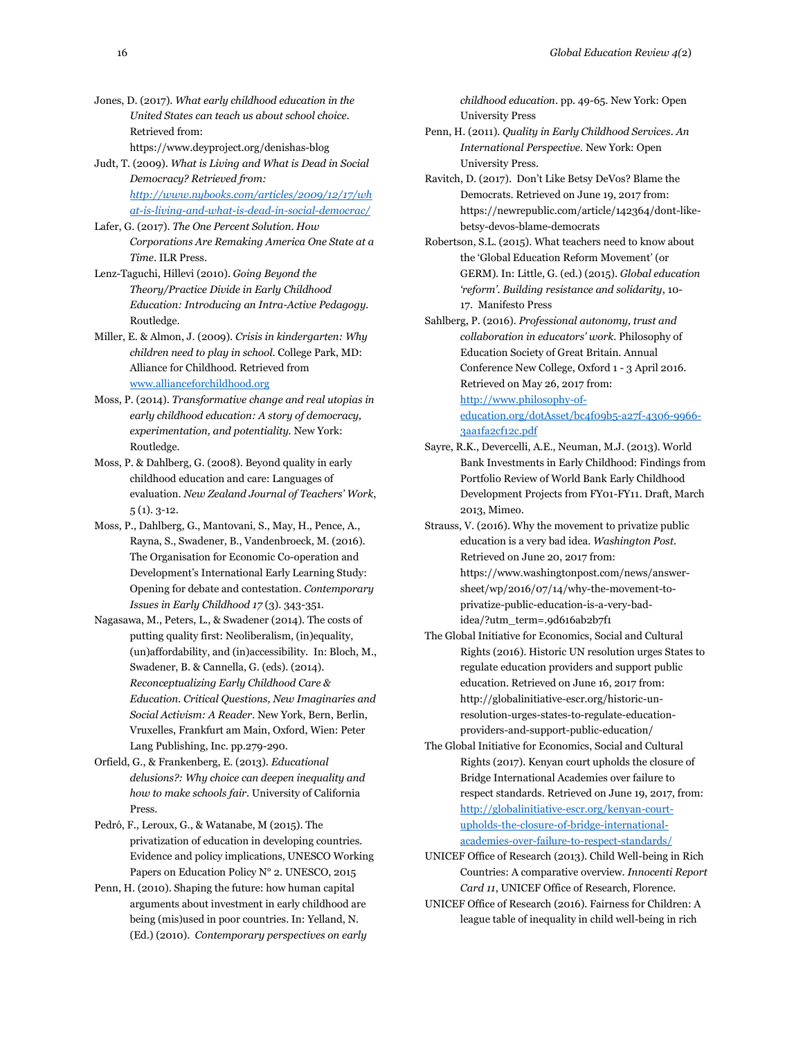Jones, D. (2017). *What early childhood education in the United States can teach us about school choice.*  Retrieved from: https://www.deyproject.org/denishas-blog

Judt, T. (2009). *What is Living and What is Dead in Social Democracy? Retrieved from:* 

*[http://www.nybooks.com/articles/2009/12/17/wh](http://www.nybooks.com/articles/2009/12/17/what-is-living-and-what-is-dead-in-social-democrac/) [at-is-living-and-what-is-dead-in-social-democrac/](http://www.nybooks.com/articles/2009/12/17/what-is-living-and-what-is-dead-in-social-democrac/)*

Lafer, G. (2017). *The One Percent Solution. How Corporations Are Remaking America One State at a Time*. ILR Press.

Lenz-Taguchi, Hillevi (2010). *Going Beyond the Theory/Practice Divide in Early Childhood Education: Introducing an Intra-Active Pedagogy.* Routledge.

Miller, E. & Almon, J. (2009). *Crisis in kindergarten: Why children need to play in school.* College Park, MD: Alliance for Childhood. Retrieved fro[m](http://www.allianceforchildhood.org/) [www.allianceforchildhood.org](http://www.allianceforchildhood.org/)

- Moss, P. (2014). *Transformative change and real utopias in early childhood education: A story of democracy, experimentation, and potentiality.* New York: Routledge.
- Moss, P. & Dahlberg, G. (2008). Beyond quality in early childhood education and care: Languages of evaluation. *New Zealand Journal of Teachers' Work*, 5 (1). 3-12.
- Moss, P., Dahlberg, G., Mantovani, S., May, H., Pence, A., Rayna, S., Swadener, B., Vandenbroeck, M. (2016). The Organisation for Economic Co-operation and Development's International Early Learning Study: Opening for debate and contestation. *Contemporary Issues in Early Childhood 17* (3). 343-351.
- Nagasawa, M., Peters, L., & Swadener (2014). The costs of putting quality first: Neoliberalism, (in)equality, (un)affordability, and (in)accessibility. In: Bloch, M., Swadener, B. & Cannella, G. (eds). (2014). *Reconceptualizing Early Childhood Care & Education. Critical Questions, New Imaginaries and Social Activism: A Reader.* New York, Bern, Berlin, Vruxelles, Frankfurt am Main, Oxford, Wien: Peter Lang Publishing, Inc. pp.279-290.

Orfield, G., & Frankenberg, E. (2013). *Educational delusions?: Why choice can deepen inequality and how to make schools fair*. University of California Press.

Pedró, F., Leroux, G., & Watanabe, M (2015). The privatization of education in developing countries. Evidence and policy implications, UNESCO Working Papers on Education Policy N° 2. UNESCO, 2015

Penn, H. (2010). Shaping the future: how human capital arguments about investment in early childhood are being (mis)used in poor countries. In: Yelland, N. (Ed.) (2010). *Contemporary perspectives on early* 

*childhood education*. pp. 49-65. New York: Open University Press

- Penn, H. (2011). *Quality in Early Childhood Services. An International Perspective.* New York: Open University Press.
- Ravitch, D. (2017). Don't Like Betsy DeVos? Blame the Democrats. Retrieved on June 19, 2017 from: https://newrepublic.com/article/142364/dont-likebetsy-devos-blame-democrats

Robertson, S.L. (2015). What teachers need to know about the 'Global Education Reform Movement' (or GERM). In: Little, G. (ed.) (2015). *Global education 'reform'. Building resistance and solidarity*, 10- 17. Manifesto Press

Sahlberg, P. (2016). *Professional autonomy, trust and collaboration in educators' work.* Philosophy of Education Society of Great Britain. Annual Conference New College, Oxford 1 - 3 April 2016. Retrieved on May 26, 2017 from: [http://www.philosophy-of-](http://www.philosophy-of-education.org/dotAsset/bc4f09b5-a27f-4306-9966-3aa1fa2cf12c.pdf)

[education.org/dotAsset/bc4f09b5-a27f-4306-9966-](http://www.philosophy-of-education.org/dotAsset/bc4f09b5-a27f-4306-9966-3aa1fa2cf12c.pdf) [3aa1fa2cf12c.pdf](http://www.philosophy-of-education.org/dotAsset/bc4f09b5-a27f-4306-9966-3aa1fa2cf12c.pdf)

- Sayre, R.K., Devercelli, A.E., Neuman, M.J. (2013). World Bank Investments in Early Childhood: Findings from Portfolio Review of World Bank Early Childhood Development Projects from FY01-FY11. Draft, March 2013, Mimeo.
- Strauss, V. (2016). Why the movement to privatize public education is a very bad idea. *Washington Post.*  Retrieved on June 20, 2017 from: https://www.washingtonpost.com/news/answersheet/wp/2016/07/14/why-the-movement-toprivatize-public-education-is-a-very-badidea/?utm\_term=.9d616ab2b7f1
- The Global Initiative for Economics, Social and Cultural Rights (2016). Historic UN resolution urges States to regulate education providers and support public education. Retrieved on June 16, 2017 from: http://globalinitiative-escr.org/historic-unresolution-urges-states-to-regulate-educationproviders-and-support-public-education/
- The Global Initiative for Economics, Social and Cultural Rights (2017). Kenyan court upholds the closure of Bridge International Academies over failure to respect standards. Retrieved on June 19, 2017, from: [http://globalinitiative-escr.org/kenyan-court](http://globalinitiative-escr.org/kenyan-court-upholds-the-closure-of-bridge-international-academies-over-failure-to-respect-standards/)[upholds-the-closure-of-bridge-international](http://globalinitiative-escr.org/kenyan-court-upholds-the-closure-of-bridge-international-academies-over-failure-to-respect-standards/)[academies-over-failure-to-respect-standards/](http://globalinitiative-escr.org/kenyan-court-upholds-the-closure-of-bridge-international-academies-over-failure-to-respect-standards/)
- UNICEF Office of Research (2013). Child Well-being in Rich Countries: A comparative overview. *Innocenti Report Card 11*, UNICEF Office of Research, Florence.
- UNICEF Office of Research (2016). Fairness for Children: A league table of inequality in child well-being in rich